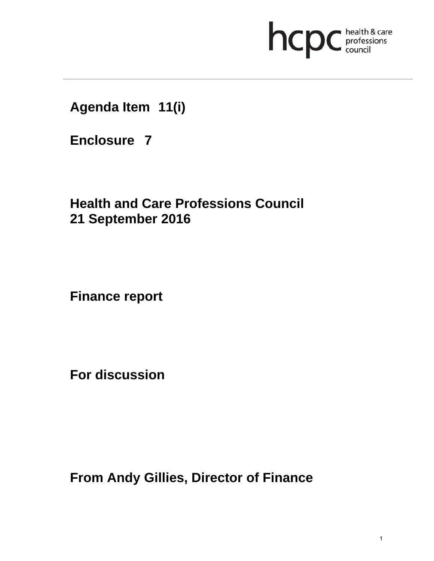

**Agenda Item 11(i)** 

**Enclosure 7**

**Health and Care Professions Council 21 September 2016**

**Finance report** 

**For discussion** 

**From Andy Gillies, Director of Finance**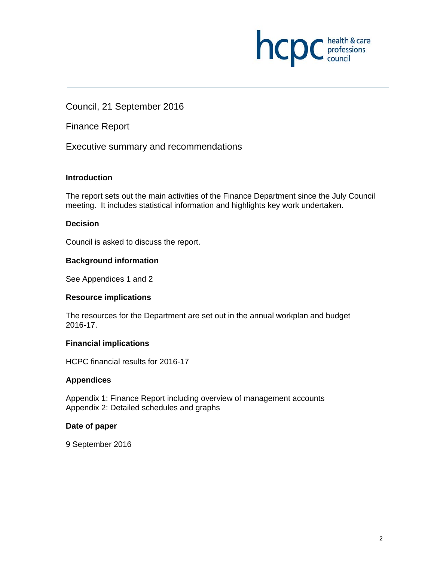

Council, 21 September 2016

Finance Report

Executive summary and recommendations

#### **Introduction**

The report sets out the main activities of the Finance Department since the July Council meeting. It includes statistical information and highlights key work undertaken.

#### **Decision**

Council is asked to discuss the report.

#### **Background information**

See Appendices 1 and 2

#### **Resource implications**

The resources for the Department are set out in the annual workplan and budget 2016-17.

#### **Financial implications**

HCPC financial results for 2016-17

#### **Appendices**

Appendix 1: Finance Report including overview of management accounts Appendix 2: Detailed schedules and graphs

#### **Date of paper**

9 September 2016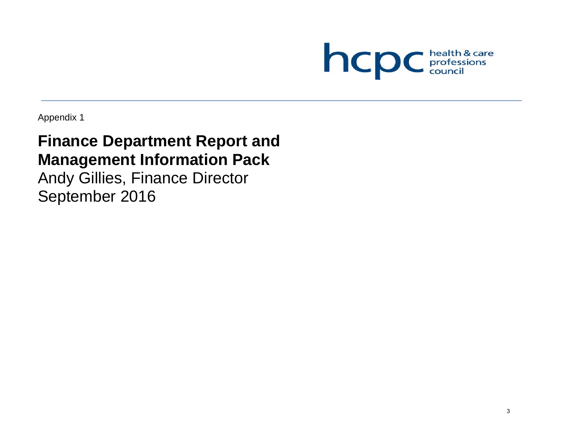

Appendix 1

# **Finance Department Report and Management Information Pack**

Andy Gillies, Finance Director September 2016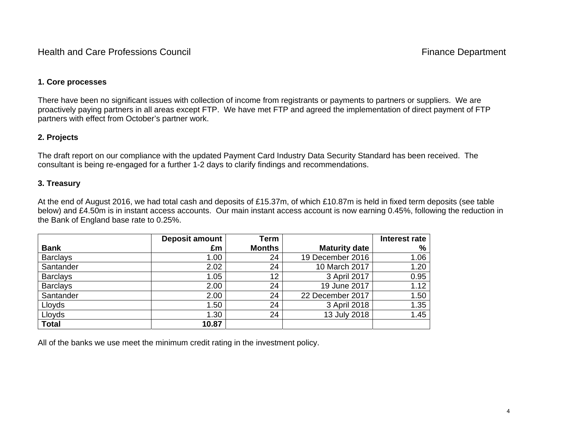Health and Care Professions Council **Finance Department** 

#### **1. Core processes**

There have been no significant issues with collection of income from registrants or payments to partners or suppliers. We are proactively paying partners in all areas except FTP. We have met FTP and agreed the implementation of direct payment of FTP partners with effect from October's partner work.

### **2. Projects**

The draft report on our compliance with the updated Payment Card Industry Data Security Standard has been received. The consultant is being re-engaged for a further 1-2 days to clarify findings and recommendations.

#### **3. Treasury**

At the end of August 2016, we had total cash and deposits of £15.37m, of which £10.87m is held in fixed term deposits (see table below) and £4.50m is in instant access accounts. Our main instant access account is now earning 0.45%, following the reduction in the Bank of England base rate to 0.25%.

|                 | <b>Deposit amount</b> | Term          |                      | Interest rate |
|-----------------|-----------------------|---------------|----------------------|---------------|
| <b>Bank</b>     | £m                    | <b>Months</b> | <b>Maturity date</b> | %             |
| <b>Barclays</b> | 1.00                  | 24            | 19 December 2016     | 1.06          |
| Santander       | 2.02                  | 24            | 10 March 2017        | 1.20          |
| <b>Barclays</b> | 1.05                  | 12            | 3 April 2017         | 0.95          |
| <b>Barclays</b> | 2.00                  | 24            | 19 June 2017         | 1.12          |
| Santander       | 2.00                  | 24            | 22 December 2017     | 1.50          |
| Lloyds          | 1.50                  | 24            | 3 April 2018         | 1.35          |
| Lloyds          | 1.30                  | 24            | 13 July 2018         | 1.45          |
| <b>Total</b>    | 10.87                 |               |                      |               |

All of the banks we use meet the minimum credit rating in the investment policy.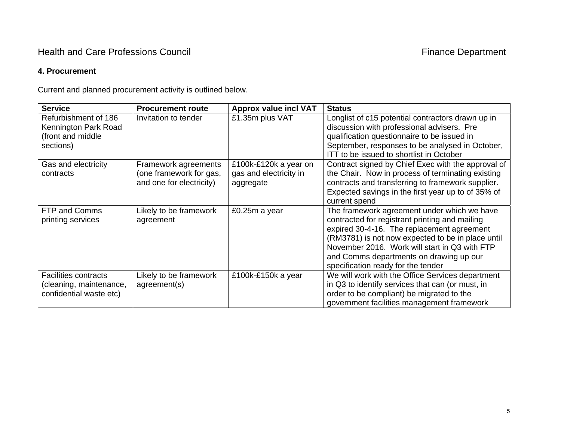### Health and Care Professions Council **Finance Department** Finance Department

#### **4. Procurement**

Current and planned procurement activity is outlined below.

| <b>Service</b>              | <b>Procurement route</b> | <b>Approx value incl VAT</b> | <b>Status</b>                                      |
|-----------------------------|--------------------------|------------------------------|----------------------------------------------------|
| Refurbishment of 186        | Invitation to tender     | £1.35m plus VAT              | Longlist of c15 potential contractors drawn up in  |
| Kennington Park Road        |                          |                              | discussion with professional advisers. Pre         |
| (front and middle           |                          |                              | qualification questionnaire to be issued in        |
| sections)                   |                          |                              | September, responses to be analysed in October,    |
|                             |                          |                              | ITT to be issued to shortlist in October           |
| Gas and electricity         | Framework agreements     | £100k-£120k a year on        | Contract signed by Chief Exec with the approval of |
| contracts                   | (one framework for gas,  | gas and electricity in       | the Chair. Now in process of terminating existing  |
|                             | and one for electricity) | aggregate                    | contracts and transferring to framework supplier.  |
|                             |                          |                              | Expected savings in the first year up to of 35% of |
|                             |                          |                              | current spend                                      |
| FTP and Comms               | Likely to be framework   | £0.25m a year                | The framework agreement under which we have        |
| printing services           | agreement                |                              | contracted for registrant printing and mailing     |
|                             |                          |                              | expired 30-4-16. The replacement agreement         |
|                             |                          |                              | (RM3781) is not now expected to be in place until  |
|                             |                          |                              | November 2016. Work will start in Q3 with FTP      |
|                             |                          |                              | and Comms departments on drawing up our            |
|                             |                          |                              | specification ready for the tender                 |
| <b>Facilities contracts</b> | Likely to be framework   | £100k-£150k a year           | We will work with the Office Services department   |
| (cleaning, maintenance,     | agreement(s)             |                              | in Q3 to identify services that can (or must, in   |
| confidential waste etc)     |                          |                              | order to be compliant) be migrated to the          |
|                             |                          |                              | government facilities management framework         |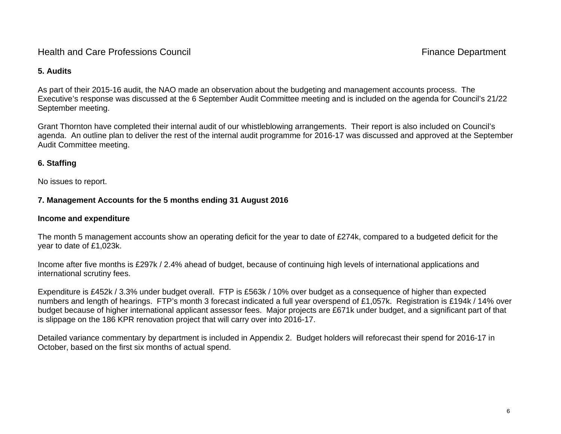### Health and Care Professions Council **Finance Department**

#### **5. Audits**

As part of their 2015-16 audit, the NAO made an observation about the budgeting and management accounts process. The Executive's response was discussed at the 6 September Audit Committee meeting and is included on the agenda for Council's 21/22 September meeting.

Grant Thornton have completed their internal audit of our whistleblowing arrangements. Their report is also included on Council's agenda. An outline plan to deliver the rest of the internal audit programme for 2016-17 was discussed and approved at the September Audit Committee meeting.

### **6. Staffing**

No issues to report.

### **7. Management Accounts for the 5 months ending 31 August 2016**

### **Income and expenditure**

The month 5 management accounts show an operating deficit for the year to date of £274k, compared to a budgeted deficit for the year to date of £1,023k.

Income after five months is £297k / 2.4% ahead of budget, because of continuing high levels of international applications and international scrutiny fees.

Expenditure is £452k / 3.3% under budget overall. FTP is £563k / 10% over budget as a consequence of higher than expected numbers and length of hearings. FTP's month 3 forecast indicated a full year overspend of £1,057k. Registration is £194k / 14% over budget because of higher international applicant assessor fees. Major projects are £671k under budget, and a significant part of that is slippage on the 186 KPR renovation project that will carry over into 2016-17.

Detailed variance commentary by department is included in Appendix 2. Budget holders will reforecast their spend for 2016-17 in October, based on the first six months of actual spend.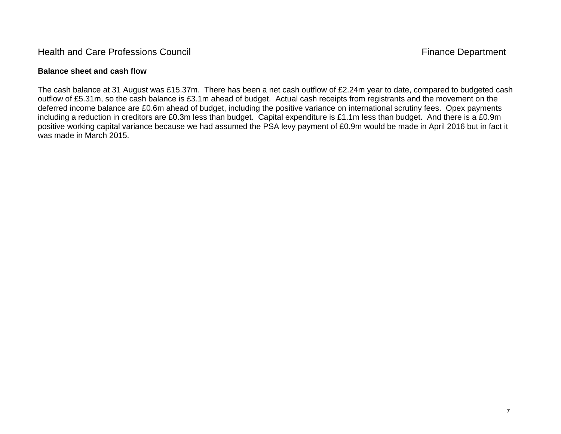### Health and Care Professions Council **Finance Department**

#### **Balance sheet and cash flow**

The cash balance at 31 August was £15.37m. There has been a net cash outflow of £2.24m year to date, compared to budgeted cash outflow of £5.31m, so the cash balance is £3.1m ahead of budget. Actual cash receipts from registrants and the movement on the deferred income balance are £0.6m ahead of budget, including the positive variance on international scrutiny fees. Opex payments including a reduction in creditors are £0.3m less than budget. Capital expenditure is £1.1m less than budget. And there is a £0.9m positive working capital variance because we had assumed the PSA levy payment of £0.9m would be made in April 2016 but in fact it was made in March 2015.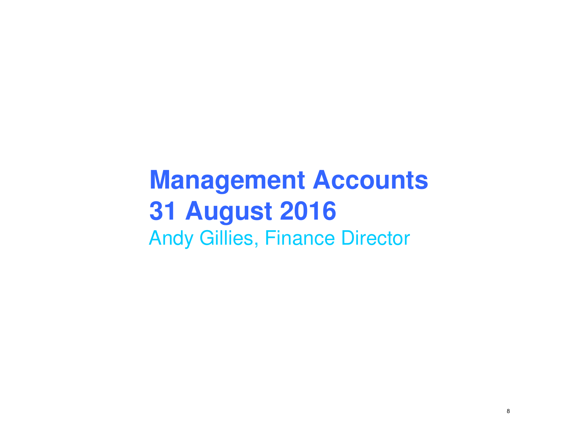# **Management Accounts31 August 2016**Andy Gillies, Finance Director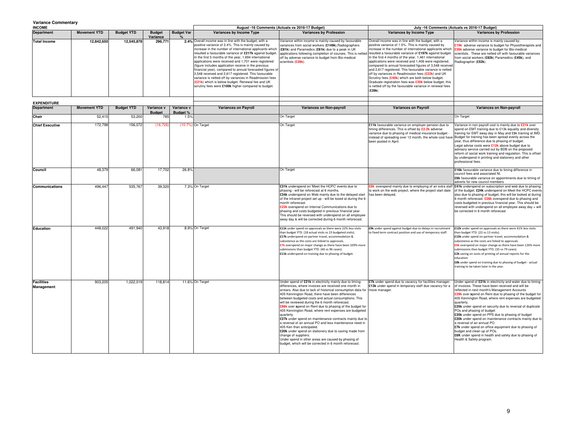#### **Variance Commentary**

| <b>INCOME</b>       |                     |                   |               |                   |                                                                                                                                                                                                                                                                                                                                                                                                                                                                                                                                                                                                                                                                                                            | August -16 Comments (Actuals vs 2016-17 Budget)                                                                                                                                                                                                                                                                                                                                                                                  |                                                                                                                                                                                                                                                                                                                                                                                                                                                                                                                                                                                                                                                         | July -16 Comments (Actuals vs 2016-17 Budget)                                                                                                                                                                                                  |
|---------------------|---------------------|-------------------|---------------|-------------------|------------------------------------------------------------------------------------------------------------------------------------------------------------------------------------------------------------------------------------------------------------------------------------------------------------------------------------------------------------------------------------------------------------------------------------------------------------------------------------------------------------------------------------------------------------------------------------------------------------------------------------------------------------------------------------------------------------|----------------------------------------------------------------------------------------------------------------------------------------------------------------------------------------------------------------------------------------------------------------------------------------------------------------------------------------------------------------------------------------------------------------------------------|---------------------------------------------------------------------------------------------------------------------------------------------------------------------------------------------------------------------------------------------------------------------------------------------------------------------------------------------------------------------------------------------------------------------------------------------------------------------------------------------------------------------------------------------------------------------------------------------------------------------------------------------------------|------------------------------------------------------------------------------------------------------------------------------------------------------------------------------------------------------------------------------------------------|
| <b>Department</b>   | <b>Movement YTD</b> | <b>Budget YTD</b> | <b>Budget</b> | <b>Budget Var</b> | Variances by Income Type                                                                                                                                                                                                                                                                                                                                                                                                                                                                                                                                                                                                                                                                                   | <b>Variances by Profession</b>                                                                                                                                                                                                                                                                                                                                                                                                   | Variances by Income Type                                                                                                                                                                                                                                                                                                                                                                                                                                                                                                                                                                                                                                | <b>Variances by Profession</b>                                                                                                                                                                                                                 |
|                     |                     |                   | Variance      |                   |                                                                                                                                                                                                                                                                                                                                                                                                                                                                                                                                                                                                                                                                                                            |                                                                                                                                                                                                                                                                                                                                                                                                                                  |                                                                                                                                                                                                                                                                                                                                                                                                                                                                                                                                                                                                                                                         |                                                                                                                                                                                                                                                |
| <b>Total Income</b> | 12.842.650          | 12,545,878        | 296.771       |                   | 2.4% Overall income was in line with the budget, with a<br>positive variance of 2.4%. This is mainly caused by<br>increase in the number of international applicants which<br>resulted a favourable variance of £217k against budget.<br>In the first 5 months of the year, 1,694 international<br>applications were received and 1,701 were registered<br>(figure includes application receive in the previous<br>financial year), compared to annual forecasted figures of<br>3,548 received and 2,617 registered. This favourable<br>variance is netted off by variances in Readmission fees<br>(£21k) which is below budget. Renewal fee and UK<br>scrutiny fees were £100k higher compared to budget. | Variance within income is mainly caused by favourable<br>variances from social workers (£149k), Radiographers<br>(£81k) and Paramedics (£61k) due to a peak in UK<br>applications following completion of courses. This is netted resulted a favourable variance of £197k against budget. scientists. These are netted off with favourable variances<br>off by adverse variance to budget from Bio-medical<br>scientists (£28k). | Overall income was in line with the budget, with a<br>positive variance of 1.5%. This is mainly caused by<br>increase in the number of international applicants which<br>In the first 4 months of the year, 1,461 international<br>applications were received and 1,406 were registered,<br>compared to annual forecasted figures of 3,548 received<br>and 2,617 registered. This favourable variance is netted<br>off by variances in Readmission fees (£22k) and UK<br>Scrutiny fees (£40k) which are both below budget.<br>Graduate registration fees was <b>£30k</b> below budget, this<br>is netted off by the favourable variance in renewal fees | Variance within income is mainly caused by:<br>£19k adverse variance to budget for Physiotherapists and<br><b>£26k</b> adverse variance to budget for Bio-medical<br>from social workers (£82k) Paramedics (£45k), and<br>Radiographer (£52k). |
|                     |                     |                   |               |                   |                                                                                                                                                                                                                                                                                                                                                                                                                                                                                                                                                                                                                                                                                                            |                                                                                                                                                                                                                                                                                                                                                                                                                                  | (£39k)                                                                                                                                                                                                                                                                                                                                                                                                                                                                                                                                                                                                                                                  |                                                                                                                                                                                                                                                |

| <b>EXPENDITURE</b>              |                     |                   |                             |                               |                   |                             |                                                                                                                                                                                                                                                                                                                                                                                                                                                                                                                                                                                                                                                                                                                                                                                                                                                        |                                                                                                                                                                                                                                                                                                             |                                                                                                                                                                                                                                                                                                                                                                                                                                                                                                                                                                                                                                                                                                                           |
|---------------------------------|---------------------|-------------------|-----------------------------|-------------------------------|-------------------|-----------------------------|--------------------------------------------------------------------------------------------------------------------------------------------------------------------------------------------------------------------------------------------------------------------------------------------------------------------------------------------------------------------------------------------------------------------------------------------------------------------------------------------------------------------------------------------------------------------------------------------------------------------------------------------------------------------------------------------------------------------------------------------------------------------------------------------------------------------------------------------------------|-------------------------------------------------------------------------------------------------------------------------------------------------------------------------------------------------------------------------------------------------------------------------------------------------------------|---------------------------------------------------------------------------------------------------------------------------------------------------------------------------------------------------------------------------------------------------------------------------------------------------------------------------------------------------------------------------------------------------------------------------------------------------------------------------------------------------------------------------------------------------------------------------------------------------------------------------------------------------------------------------------------------------------------------------|
| <b>Department</b>               | <b>Movement YTD</b> | <b>Budget YTD</b> | Variance v<br><b>Budget</b> | Variance v<br><b>Budget %</b> |                   | <b>Variances on Payroll</b> | Variances on Non-payroll                                                                                                                                                                                                                                                                                                                                                                                                                                                                                                                                                                                                                                                                                                                                                                                                                               | <b>Variances on Payroll</b>                                                                                                                                                                                                                                                                                 | Variances on Non-payroll                                                                                                                                                                                                                                                                                                                                                                                                                                                                                                                                                                                                                                                                                                  |
| Chair                           | 52,415              | 53,200            | 785                         | 1.5%                          |                   |                             | On Target                                                                                                                                                                                                                                                                                                                                                                                                                                                                                                                                                                                                                                                                                                                                                                                                                                              |                                                                                                                                                                                                                                                                                                             | On Target                                                                                                                                                                                                                                                                                                                                                                                                                                                                                                                                                                                                                                                                                                                 |
| <b>Chief Executive</b>          | 172,798             | 156,072           | (16, 726)                   |                               | (10.7%) On Target |                             | On Target                                                                                                                                                                                                                                                                                                                                                                                                                                                                                                                                                                                                                                                                                                                                                                                                                                              | £11k favourable variance on employer pension due to<br>timing differences. This is offset by £2.2k adverse<br>variance due to phasing of medical insurance budget<br>instead of spreading over 12 month, the whole cost have Budget for training has been spread evenly across the<br>been posted in April. | Variance in non payroll cost is mainly due to £21k over<br>spend on EMT training due to £13k equality and diversity<br>training for EMT away day in May and £8k training at IMD.<br>year, thus difference due to phasing of budget.<br>Legal advise costs were £12k above budget due to<br>advisory service carried out by BDB on the proposed<br>reform of social work training and regulation. This is offset<br>by underspend in printing and stationery and other<br>professional fees.                                                                                                                                                                                                                               |
| Council                         | 48,379              | 66,081            | 17,702                      | 26.8%                         |                   |                             | On Target                                                                                                                                                                                                                                                                                                                                                                                                                                                                                                                                                                                                                                                                                                                                                                                                                                              |                                                                                                                                                                                                                                                                                                             | £16k favourable variance due to timing difference in<br>council fees and associated NI.<br>£6k favourable variance on appointments due to timing of<br>adverts for new council members                                                                                                                                                                                                                                                                                                                                                                                                                                                                                                                                    |
| <b>Communications</b>           | 496.447             | 535.767           | 39.320                      |                               | 7.3% On Target    |                             | £31k underspend on 'Meet the HCPC' events due to<br>phasing - will be reforecast at 6 months.<br>£34k underspend on Web mainly due to the delayed start<br>of the intranet project set up - will be looed at during the 6<br>month reforecast.<br>£22k overspend on Internal Communications due to<br>phasing and costs budgeted in previous financial year.<br>This should be reversed with underspend on all employee<br>away day & will be corrected during 6 month reforecast.                                                                                                                                                                                                                                                                                                                                                                     | <b>£6k</b> overspend mainly due to employing of an extra staff<br>to work on the web project, where the project start date<br>has been delaved.                                                                                                                                                             | £41k underspend on subscription and web due to phasing<br>of the budget. £24k underspend on Meet the HCPC events<br>also due to phasing of budget, this will be looked at during<br>6 month reforecast. £28k overspend due to phasing and<br>costs budgeted in previous financial year. This should be<br>reversed with underspend on all employee away day + will<br>be corrected in 6 month reforecast                                                                                                                                                                                                                                                                                                                  |
| Education                       | 448.022             | 491.940           | 43.918                      |                               | 8.9% On Target    |                             | £11k under spend on approvals as there were 22% less visits<br>than budget YTD. (18 actual visits vs 23 budgeted visits).<br>£17k underspend on partner travel, accommodation &<br>subsistence as the costs are linked to approvals.<br>£7k overspend on major change as there have been 109% more<br>submissions than budget YTD. (46 vs 96 cases).<br>£11k underspend on training due to phasing of budget.                                                                                                                                                                                                                                                                                                                                                                                                                                          | £9k under spend against budget due to delays in recruitment<br>to fixed term contract position and use of temporary staff.                                                                                                                                                                                  | £12k under spend on approvals as there were 41% less visits<br>than budget YTD. (22 vs 13 visits).<br>£15k under spend on partner travel, accommodation &<br>subsistence as the costs are linked to approvals.<br>£6k overspend on major change as there have been 126% more<br>submissions than budget YTD. (35 vs 79 cases).<br>£2k saving on costs of printing of annual reports for the<br>education<br>£8k under spend on training due to phasing of budget - actual<br>training to be taken later in the year.                                                                                                                                                                                                      |
| <b>Facilities</b><br>Management | 903.205             | 1.022.019         | 118.814                     |                               | 11.6% On Target   |                             | Under spend of £21k in electricity mainly due to timing<br>differences, where invoices are received one month in<br>arrears. Also due to lack of historical consumption data for move manager.<br>405 Kennington Road, there have been differences<br>between budgeted costs and actual consumptions. This<br>will be reviewed during the 6 month reforecast.<br>£86k over spend on Rent due to phasing of the budget for<br>405 Kennington Road, where rent expenses are budgeted<br>quarterly.<br>£27k under spend on maintenance contracts mainly due to<br>a reversal of an annual PO and less maintenance need in<br>405 Ken than anticipated.<br>£20k under spend on stationery due to saving made from<br>change of suppliers.<br>Under spend in other areas are caused by phasing of<br>budget, which will be corrected in 6 month reforecast. | £7k under spend due to vacancy for facilities manager.<br>£13k under spend in temporary staff due vacancy for a                                                                                                                                                                                             | Under spend of £21k in electricity and water due to timing<br>of invoices. These have been received and will be<br>reflected in next month's Management Accounts<br>£29k over spend on Rent due to phasing of the budget for<br>405 Kennington Road, where rent expenses are budgeted<br>quarterly.<br>£25k under spend on security due to reversal of duplicate<br>POs and phasing of budget<br>£35k under spend on PPS due to phasing of budget<br>£20k under spend on maintenance contracts mainly due to<br>a reversal of an annual PO.<br>£7k under spend on office equipment due to phasing of<br>budget and clean up of POs.<br>£6K under spend in health and safety due to phasing of<br>Health & Safety program. |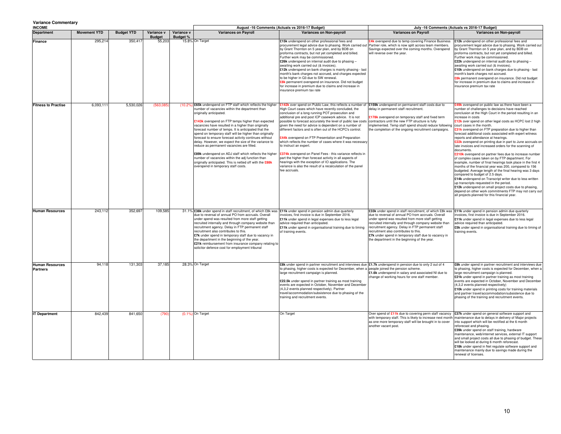#### **Variance Commentary**

| variance Commentary<br><b>INCOME</b>      |                     |                   |                             | August -16 Comments (Actuals vs 2016-17 Budget)<br>July -16 Comments (Actuals vs 2016-17 Budget) |                                                                                                                                                                                                                                                                                                                                                                                                                                                                                                                                                                                                                                                                                                                                                     |                                                                                                                                                                                                                                                                                                                                                                                                                                                                                                                                                                                                                                                                                                                                                                                                                                                                                                                                      |                                                                                                                                                                                                                                                                                                                                                                                                                                                                                   |                                                                                                                                                                                                                                                                                                                                                                                                                                                                                                                                                                                                                                                                                                                                                                                                                                                                                                                                                                                                                                                                                                                                                                                                                |
|-------------------------------------------|---------------------|-------------------|-----------------------------|--------------------------------------------------------------------------------------------------|-----------------------------------------------------------------------------------------------------------------------------------------------------------------------------------------------------------------------------------------------------------------------------------------------------------------------------------------------------------------------------------------------------------------------------------------------------------------------------------------------------------------------------------------------------------------------------------------------------------------------------------------------------------------------------------------------------------------------------------------------------|--------------------------------------------------------------------------------------------------------------------------------------------------------------------------------------------------------------------------------------------------------------------------------------------------------------------------------------------------------------------------------------------------------------------------------------------------------------------------------------------------------------------------------------------------------------------------------------------------------------------------------------------------------------------------------------------------------------------------------------------------------------------------------------------------------------------------------------------------------------------------------------------------------------------------------------|-----------------------------------------------------------------------------------------------------------------------------------------------------------------------------------------------------------------------------------------------------------------------------------------------------------------------------------------------------------------------------------------------------------------------------------------------------------------------------------|----------------------------------------------------------------------------------------------------------------------------------------------------------------------------------------------------------------------------------------------------------------------------------------------------------------------------------------------------------------------------------------------------------------------------------------------------------------------------------------------------------------------------------------------------------------------------------------------------------------------------------------------------------------------------------------------------------------------------------------------------------------------------------------------------------------------------------------------------------------------------------------------------------------------------------------------------------------------------------------------------------------------------------------------------------------------------------------------------------------------------------------------------------------------------------------------------------------|
| <b>Department</b>                         | <b>Movement YTD</b> | <b>Budget YTD</b> | Variance v<br><b>Budget</b> | Variance v<br><b>Budget %</b>                                                                    | <b>Variances on Payroll</b>                                                                                                                                                                                                                                                                                                                                                                                                                                                                                                                                                                                                                                                                                                                         | <b>Variances on Non-pavroll</b>                                                                                                                                                                                                                                                                                                                                                                                                                                                                                                                                                                                                                                                                                                                                                                                                                                                                                                      | <b>Variances on Pavroll</b>                                                                                                                                                                                                                                                                                                                                                                                                                                                       | Variances on Non-payroll                                                                                                                                                                                                                                                                                                                                                                                                                                                                                                                                                                                                                                                                                                                                                                                                                                                                                                                                                                                                                                                                                                                                                                                       |
| Finance                                   | 295,214             | 350,417           | 55,203                      |                                                                                                  | 15.8% On Target                                                                                                                                                                                                                                                                                                                                                                                                                                                                                                                                                                                                                                                                                                                                     | £15k underspend on other professional fees and<br>procurement legal advice due to phasing. Work carried out Partner role, which is now split across team members.<br>by Grant Thornton on 5 year plan, and by BDB on<br>proforma contracts, but not yet completed and billed.<br>Further work may be commissioned.<br>£26k underspend on internal audit due to phasing -<br>awaiting work carried out (& invoices).<br>£12k underspend on bank charges is mainly phasing - last<br>month's bank charges not accrued, and charges expected<br>to be higher in Q3 due to SW renewal.<br><b>28k</b> permanent overspend on insurance. Did not budget<br>for increase in premium due to claims and increase in<br>insurance premium tax rate                                                                                                                                                                                             | 24k overspend due to temp covering Finance Business<br>Savings expected over the coming months. Overspend<br>will reverse over the year.                                                                                                                                                                                                                                                                                                                                          | £12k underspend on other professional fees and<br>procurement legal advice due to phasing. Work carried out<br>by Grant Thornton on 5 year plan, and by BDB on<br>proforma contracts, but not yet completed and billed.<br>Further work may be commissioned.<br>£22k underspend on internal audit due to phasing -<br>awaiting work carried out (& invoices).<br>£10k underspend on bank charges due to phasing - last<br>month's bank charges not accrued.<br><b>£8k</b> permanent overspend on insurance. Did not budget<br>for increase in premium due to claims and increase in<br>insurance premium tax rate                                                                                                                                                                                                                                                                                                                                                                                                                                                                                                                                                                                              |
| <b>Fitness to Practise</b>                | 6.093.111           | 5.530.026         | (563,085)                   | (10.2%                                                                                           | E65k underspend on FTP staff which reflects the higher<br>number of vacancies within the department than<br>originally anticipated.<br>£143k overspend on FTP temps higher than expected<br>vacancies have resulted in a higher than originally<br>forecast number of temps. It is anticipated that the<br>spend on temporary staff will be higher than originally<br>forecast to ensure forecast activity continues without<br>delay. However, we expect the size of the variance to<br>reduce as permanent vacancies are filled.<br>£89k underspend on ADJ staff which reflects the higher<br>number of vacancies within the adi function than<br>originally anticipated. This is netted off with the £88k<br>overspend in temporary staff costs. | £142k over spend on Public Law, this reflects a number of £159k underspend on permanent staff costs due to<br>ligh Court cases which have recently concluded, the<br>conclusion of a long running POT prosecution and<br>additional pre and post ICP casework advice. It is not<br>possible to forecast accurately the level of public law costs contractors until the new FTP structure is fully<br>given the need for advice is dependent on a number of<br>different factors and is often out of the HCPC's control.<br>:44k overspend on FTP Presentation and Preparation<br>which reflects the number of cases where it was necessary<br>to instruct an expert.<br>£374k overspend on Panel Fees - this variance reflects in<br>part the higher than forecast activity in all aspects of<br>hearings with the exception of IO applications. The<br>variance is also the result of a recalculation of the panel<br>fee accruals. | delay in permanent staff recruitment.<br>£178k overspend on temporary staff and fixed term<br>implemented. Temp staff spend should reduce following<br>the completion of the ongoing recruitment campaigns.                                                                                                                                                                                                                                                                       | <b>249k</b> overspend on public law as there have been a<br>number of challenges to decisions have reached<br>conclusion at the High Court in the period resulting in an<br>increase in costs<br>£12k over spend on other legal costs as HCPC lost 2 high<br>court cases in the month<br>£31k overspend on FTP preparation due to higher than<br>forecast additional costs associated with expert witness<br>reports and attendance at hearings.<br><b>£22k</b> overspend on printing due in part to June accruals on<br>late invoices and increased orders for the scanning of<br>documents.<br>£210k overspend on partner fees due to increase number<br>of complex cases taken on by FTP department. For<br>example, number of final hearings took place in the first 4<br>months of the financial year was 200, compared to 156<br>budgeted. Average length of the final hearing was 3 days<br>compared to budget of 2.5 days.<br>£14k underspend on Transcript writer due to less written<br>up transcripts requested in the period.<br>£12k underspend on small project costs due to phasing,<br>depend on other work commitments FTP may not carry out<br>all projects planned for this financial year. |
| <b>Human Resources</b>                    | 243,112             | 352,697           | 109,585                     |                                                                                                  | 31.1% E38k under spend in staff recruitment, of which £8k was   £11k under spend in pension admin due quarterly<br>due to reversal of annual PO from accruals. Overall<br>under spend was resulted from more staff getting<br>recruited internally and through company website than<br>recruitment agency. Delay in FTP permanent staff<br>recruitment also contributes to this.<br>£7k under spend in temporary staff due to vacancy in<br>the department in the beginning of the year.<br>£21k reimbursement from insurance company relating to<br>solicitor defence cost for employment tribunal                                                                                                                                                 | invoices, first invoice is due in September 2016.<br>£11k under spend in legal expenses due to less legal<br>advice required than anticipated.<br>£11k under spend in organisational training due to timing<br>of training events.                                                                                                                                                                                                                                                                                                                                                                                                                                                                                                                                                                                                                                                                                                   | £33k under spend in staff recruitment, of which £8k was [£11k under spend in pension admin due quarterly<br>due to reversal of annual PO from accruals. Overall<br>under spend was resulted from more staff getting<br>recruited internally and through company website than<br>recruitment agency. Delay in FTP permanent staff<br>recruitment also contributes to this.<br>£7k under spend in temporary staff due to vacancy in<br>the department in the beginning of the year. | invoices, first invoice is due in September 2016.<br>£11k under spend in legal expenses due to less legal<br>advice required than anticipated.<br>£5k under spend in organisational training due to timing of<br>training events.                                                                                                                                                                                                                                                                                                                                                                                                                                                                                                                                                                                                                                                                                                                                                                                                                                                                                                                                                                              |
| <b>Human Resources</b><br><b>Partners</b> | 94,118              | 131,303           | 37,185                      |                                                                                                  | 28.3% On Target                                                                                                                                                                                                                                                                                                                                                                                                                                                                                                                                                                                                                                                                                                                                     | £8k under spend in partner recruitment and interviews due £1.7k underspend in pension due to only 2 out of 4<br>to phasing, higher costs is expected for December, when a people joined the pension scheme.<br>large recruitment campaign is planned.<br>£22.5k under spend in partner training as most training<br>events are expected in October, November and December<br>(4,3,2 events planned respectively). Partner<br>travel/accommodation/subsistence due to phasing of the<br>training and recruitment events.                                                                                                                                                                                                                                                                                                                                                                                                              | £1.6k underspend in salary and associated NI due to<br>change of working hours for one staff member.                                                                                                                                                                                                                                                                                                                                                                              | £8k under spend in partner recruitment and interviews due<br>to phasing, higher costs is expected for December, when a<br>large recruitment campaign is planned.<br>£21k under spend in partner training as most training<br>events are expected in October, November and December<br>(4,3,2 events planned respectively)<br>£10k under spend in printing costs for training materials<br>and partner travel/accommodation/subsistence due to<br>phasing of the training and recruitment events.                                                                                                                                                                                                                                                                                                                                                                                                                                                                                                                                                                                                                                                                                                               |
| <b>IT Department</b>                      | 842.439             | 841,650           | (790)                       |                                                                                                  | (0.1%) On Target                                                                                                                                                                                                                                                                                                                                                                                                                                                                                                                                                                                                                                                                                                                                    | On Target                                                                                                                                                                                                                                                                                                                                                                                                                                                                                                                                                                                                                                                                                                                                                                                                                                                                                                                            | Over spend of £11k due to covering perm staff vacancy<br>with temporary staff. This is likely to increase next month<br>as one more temporary staff will be brought in to cover<br>another vacant post.                                                                                                                                                                                                                                                                           | £37k under spend on general software support and<br>maintenance due to delays in delivery of Major projects<br>into support which will be rectified at the 6 month<br>reforecast and phasing.<br>£39k under spend on staff training, hardware<br>maintenance, web/internet services, external IT support<br>and small project costs all due to phasing of budget. These<br>will be looked at during 6 month reforecast.<br>£18k under spend in Net regulate software support and<br>maintenance mainly due to savings made during the<br>penewal of licenses                                                                                                                                                                                                                                                                                                                                                                                                                                                                                                                                                                                                                                                   |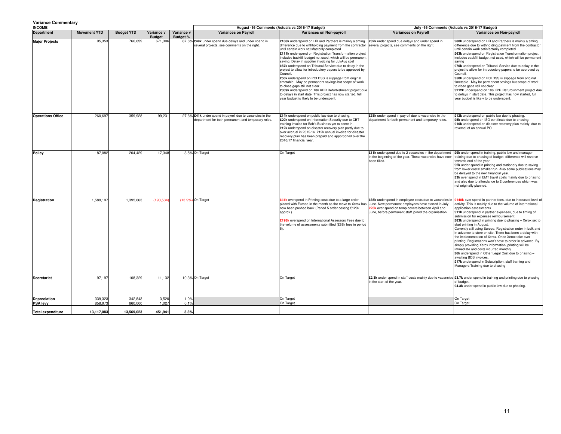#### **Variance Commentary**

| variance Commentary<br><b>INCOME</b> |                     |                   |                             |                                                                                                                 | August -16 Comments (Actuals vs 2016-17 Budget)                                                                                                                                                                                                                                                                                                                                                                                                                                                                                                                                                                                                                                                                                                                                                                |                                                                                                                                                                           | July -16 Comments (Actuals vs 2016-17 Budget)                                                                                                                                                                                                                                                                                                                                                                                                                                                                                                                                                                                                                                                                                                                                                                                                                                  |  |
|--------------------------------------|---------------------|-------------------|-----------------------------|-----------------------------------------------------------------------------------------------------------------|----------------------------------------------------------------------------------------------------------------------------------------------------------------------------------------------------------------------------------------------------------------------------------------------------------------------------------------------------------------------------------------------------------------------------------------------------------------------------------------------------------------------------------------------------------------------------------------------------------------------------------------------------------------------------------------------------------------------------------------------------------------------------------------------------------------|---------------------------------------------------------------------------------------------------------------------------------------------------------------------------|--------------------------------------------------------------------------------------------------------------------------------------------------------------------------------------------------------------------------------------------------------------------------------------------------------------------------------------------------------------------------------------------------------------------------------------------------------------------------------------------------------------------------------------------------------------------------------------------------------------------------------------------------------------------------------------------------------------------------------------------------------------------------------------------------------------------------------------------------------------------------------|--|
| <b>Department</b>                    | <b>Movement YTD</b> | <b>Budget YTD</b> | Variance v<br><b>Budget</b> | Variance v<br><b>Variances on Payroll</b><br><b>Budget %</b>                                                    | Variances on Non-payroll                                                                                                                                                                                                                                                                                                                                                                                                                                                                                                                                                                                                                                                                                                                                                                                       | <b>Variances on Payroll</b>                                                                                                                                               | Variances on Non-payroll                                                                                                                                                                                                                                                                                                                                                                                                                                                                                                                                                                                                                                                                                                                                                                                                                                                       |  |
| <b>Major Projects</b>                | 95,353              | 766,659           | 671,306                     | 87.6% £49k under spend due delays and under spend in<br>several projects, see comments on the right.            | £108k underspend on HR and Partners is mainly a timing<br>difference due to withholding payment from the contractor<br>until certain work satisfactorily completed.<br>£111k underspend on Registration Transformation project<br>includes backfill budget not used, which will be permanent<br>saving. Delay in supplier invoicing for Jul/Aug cost<br>£87k underspend on Tribunal Service due to delay in the<br>project to allow for introductory papers to be approved by<br>Council.<br>£50k underspend on PCI DSS is slippage from original<br>timetable. May be permanent savings but scope of work<br>to close gaps still not clear<br>£309k underspend on 186 KPR Refurbishment project due<br>to delays in start date. This project has now started, full<br>year budget is likely to be underspent. | £32k under spend due delays and under spend in<br>several projects, see comments on the right.                                                                            | £80k underspend on HR and Partners is mainly a timing<br>difference due to withholding payment from the contractor<br>until certain work satisfactorily completed.<br>£63k underspend on Registration Transformation project<br>includes backfill budget not used, which will be permanent<br>saving<br>£70k underspend on Tribunal Service due to delay in the<br>project to allow for introductory papers to be approved by<br>Council.<br>£50k underspend on PCI DSS is slippage from original<br>timetable. May be permanent savings but scope of work<br>to close gaps still not clear<br>£212k underspend on 186 KPR Refurbishment project due<br>to delays in start date. This project has now started, full<br>year budget is likely to be underspent.                                                                                                                 |  |
| <b>Operations Office</b>             | 260,697             | 359,928           | 99,231                      | 27.6% £41k under spend in payroll due to vacancies in the<br>department for both permanent and temporary roles. | £14k underspend on public law due to phasing.<br>£20k underspend on Information Security due to CBT<br>training invoice for Bob's Business yet to come in.<br>£12k underspend on disaster recovery plan partly due to<br>over accrual in 2015-16. £12k annual invoice for disaster<br>recovery plan has been prepaid and apportioned over the<br>2016/17 financial year.                                                                                                                                                                                                                                                                                                                                                                                                                                       | £38k under spend in payroll due to vacancies in the<br>department for both permanent and temporary roles.                                                                 | £12k underspend on public law due to phasing.<br>£5k underspend on ISO certificate due to phasing.<br>£10k underspend on disaster recovery plan mainly due to<br>reversal of an annual PO.                                                                                                                                                                                                                                                                                                                                                                                                                                                                                                                                                                                                                                                                                     |  |
| Policy                               | 187,082             | 204,429           | 17.348                      | 8.5% On Target                                                                                                  | On Target                                                                                                                                                                                                                                                                                                                                                                                                                                                                                                                                                                                                                                                                                                                                                                                                      | £11k underspend due to 2 vacancies in the department<br>in the beginning of the year. These vacancies have now<br>been filled.                                            | £9k under spend in training, public law and manager<br>training due to phasing of budget, difference will reverse<br>towards end of the year.<br>£2k under spend in printing and stationery due to saving<br>from lower costs/ smaller run. Also some publications may<br>be delayed to the next financial year.<br>£3k over spend in EMT travel costs mainly due to phasing<br>and also due to attendance to 2 conferences which was<br>not originally planned.                                                                                                                                                                                                                                                                                                                                                                                                               |  |
| Registration                         | 1,589,197           | 1,395,663         | (193, 534)                  | (13.9%) On Target                                                                                               | £41k overspend in Printing costs due to a large order<br>placed with Europa in the month as the move to Xerox has June. New permanent employees have started in July.<br>now been pushed back (Period 5 order costing £129k<br>approx.)<br>£198k overspend on International Assessors Fees due to<br>the volume of assessments submitted (£88k fees in period                                                                                                                                                                                                                                                                                                                                                                                                                                                  | £35k underspend in employee costs due to vacancies in<br><b>E25k</b> over spend on temp covers between April and<br>June, before permanent staff joined the organisation. | £140k over spend in partner fees, due to increased level of<br>activity. This is mainly due to the volume of international<br>application assessments<br>£11k underspend in partner expenses, due to timing of<br>submission for expenses reimbursement.<br>£83k underspend in printing due to phasing - Xerox set to<br>start printing in August.<br>Currently still using Europa. Registration order in bulk and<br>in advance to store on site. There has been a delay with<br>the implementation of Xerox. Once Xerox take over<br>printing, Registrations won't have to order in advance. By<br>simply providing Xerox information, printing will be<br>immediate and costs incurred monthly.<br>£6k underspend in Other Legal Cost due to phasing -<br>awaiting BDB invoices.<br>£17k underspend in Subscription, staff training and<br>Managers Training due to phasing |  |
| Secretariat                          | 97,197              | 108,329           | 11,132                      | 10.3% On Target                                                                                                 | On Target                                                                                                                                                                                                                                                                                                                                                                                                                                                                                                                                                                                                                                                                                                                                                                                                      | in the start of the year.                                                                                                                                                 | £2.3k under spend in staff costs mainly due to vacancies £3.7k under spend in training and printing due to phasing<br>of budget.<br>£4.3k under spend in public law due to phasing.                                                                                                                                                                                                                                                                                                                                                                                                                                                                                                                                                                                                                                                                                            |  |
| Depreciation                         | 339,323             | 342,843           | 3,520                       | 1.0%                                                                                                            | On Target                                                                                                                                                                                                                                                                                                                                                                                                                                                                                                                                                                                                                                                                                                                                                                                                      |                                                                                                                                                                           | On Target                                                                                                                                                                                                                                                                                                                                                                                                                                                                                                                                                                                                                                                                                                                                                                                                                                                                      |  |
| <b>PSA levy</b>                      | 858,973             | 860,000           | 1,027                       | 0.1%                                                                                                            | On Target                                                                                                                                                                                                                                                                                                                                                                                                                                                                                                                                                                                                                                                                                                                                                                                                      |                                                                                                                                                                           | On Target                                                                                                                                                                                                                                                                                                                                                                                                                                                                                                                                                                                                                                                                                                                                                                                                                                                                      |  |
|                                      |                     |                   |                             |                                                                                                                 |                                                                                                                                                                                                                                                                                                                                                                                                                                                                                                                                                                                                                                                                                                                                                                                                                |                                                                                                                                                                           |                                                                                                                                                                                                                                                                                                                                                                                                                                                                                                                                                                                                                                                                                                                                                                                                                                                                                |  |
| <b>Total expenditure</b>             | 13,117,083          | 13,569,023        | 451,941                     | 3.3%                                                                                                            |                                                                                                                                                                                                                                                                                                                                                                                                                                                                                                                                                                                                                                                                                                                                                                                                                |                                                                                                                                                                           |                                                                                                                                                                                                                                                                                                                                                                                                                                                                                                                                                                                                                                                                                                                                                                                                                                                                                |  |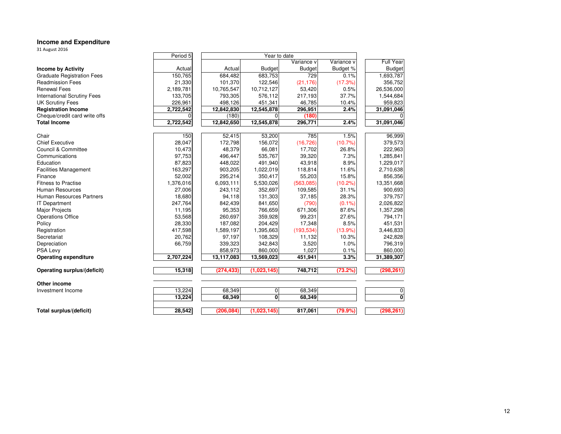## **Income and Expenditure** 31 August 2016

| <b>DI August 2010</b>              |           |            |                |               |            |                           |  |  |  |  |
|------------------------------------|-----------|------------|----------------|---------------|------------|---------------------------|--|--|--|--|
|                                    | Period 5  |            | Year to date   |               |            |                           |  |  |  |  |
|                                    |           |            |                | Variance v    | Variance v | <b>Full Year</b>          |  |  |  |  |
| <b>Income by Activity</b>          | Actual    | Actual     | <b>Budget</b>  | <b>Budget</b> | Budget %   | <b>Budget</b>             |  |  |  |  |
| <b>Graduate Registration Fees</b>  | 150,765   | 684,482    | 683,753        | 729           | 0.1%       | 1,693,787                 |  |  |  |  |
| <b>Readmission Fees</b>            | 21,330    | 101,370    | 122,546        | (21, 176)     | (17.3%)    | 356,752                   |  |  |  |  |
| <b>Renewal Fees</b>                | 2,189,781 | 10,765,547 | 10,712,127     | 53,420        | 0.5%       | 26,536,000                |  |  |  |  |
| <b>International Scrutiny Fees</b> | 133,705   | 793,305    | 576,112        | 217,193       | 37.7%      | 1,544,684                 |  |  |  |  |
| <b>UK Scrutiny Fees</b>            | 226,961   | 498,126    | 451,341        | 46,785        | 10.4%      | 959,823                   |  |  |  |  |
| <b>Registration Income</b>         | 2,722,542 | 12,842,830 | 12,545,878     | 296,951       | 2.4%       | 31,091,046                |  |  |  |  |
| Cheque/credit card write offs      | $\Omega$  | (180)      | $\Omega$       | (180)         |            | 0                         |  |  |  |  |
| <b>Total Income</b>                | 2,722,542 | 12,842,650 | 12,545,878     | 296,771       | 2.4%       | 31.091.046                |  |  |  |  |
| Chair                              | 150       | 52,415     | 53,200         | 785           | 1.5%       | 96,999                    |  |  |  |  |
| <b>Chief Executive</b>             | 28,047    | 172,798    | 156,072        | (16, 726)     | (10.7%     | 379,573                   |  |  |  |  |
| Council & Committee                | 10,473    | 48,379     | 66,081         | 17,702        | 26.8%      | 222,963                   |  |  |  |  |
| Communications                     | 97,753    | 496,447    | 535,767        | 39,320        | 7.3%       | 1,285,841                 |  |  |  |  |
| Education                          | 87,823    | 448,022    | 491,940        | 43,918        | 8.9%       | 1,229,017                 |  |  |  |  |
| <b>Facilities Management</b>       | 163,297   | 903,205    | 1,022,019      | 118,814       | 11.6%      | 2,710,638                 |  |  |  |  |
| Finance                            | 52,002    | 295,214    | 350,417        | 55,203        | 15.8%      | 856,356                   |  |  |  |  |
| <b>Fitness to Practise</b>         | 1,376,016 | 6,093,111  | 5,530,026      | (563,085)     | $(10.2\%)$ | 13,351,668                |  |  |  |  |
| <b>Human Resources</b>             | 27,006    | 243.112    | 352,697        | 109,585       | 31.1%      | 900,693                   |  |  |  |  |
| Human Resources Partners           | 18,680    | 94,118     | 131,303        | 37,185        | 28.3%      | 379,757                   |  |  |  |  |
| <b>IT Department</b>               | 247,764   | 842,439    | 841,650        | (790)         | $(0.1\%)$  | 2,026,822                 |  |  |  |  |
| Major Projects                     | 11,195    | 95,353     | 766,659        | 671,306       | 87.6%      | 1,357,298                 |  |  |  |  |
| <b>Operations Office</b>           | 53,568    | 260,697    | 359,928        | 99,231        | 27.6%      | 794,171                   |  |  |  |  |
| Policy                             | 28,330    | 187,082    | 204,429        | 17,348        | 8.5%       | 451,531                   |  |  |  |  |
| Registration                       | 417,598   | 1,589,197  | 1,395,663      | (193, 534)    | $(13.9\%)$ | 3,446,833                 |  |  |  |  |
| Secretariat                        | 20,762    | 97,197     | 108,329        | 11,132        | 10.3%      | 242,828                   |  |  |  |  |
| Depreciation                       | 66,759    | 339,323    | 342,843        | 3,520         | 1.0%       | 796,319                   |  |  |  |  |
| PSA Levy                           |           | 858,973    | 860,000        | 1,027         | 0.1%       | 860,000                   |  |  |  |  |
| <b>Operating expenditure</b>       | 2,707,224 | 13.117.083 | 13,569,023     | 451,941       | 3.3%       | 31,389,307                |  |  |  |  |
| Operating surplus/(deficit)        | 15,318    | (274, 433) | (1,023,145)    | 748,712       | (73.2%)    | (298, 261)                |  |  |  |  |
| Other income                       |           |            |                |               |            |                           |  |  |  |  |
| Investment Income                  | 13,224    | 68,349     | $\overline{0}$ | 68,349        |            | 0                         |  |  |  |  |
|                                    | 13,224    | 68,349     | $\mathbf{0}$   | 68,349        |            | $\overline{\mathfrak{o}}$ |  |  |  |  |
| Total surplus/(deficit)            | 28,542    | (206, 084) | (1,023,145)    | 817,061       | (79.9%     | (298, 261)                |  |  |  |  |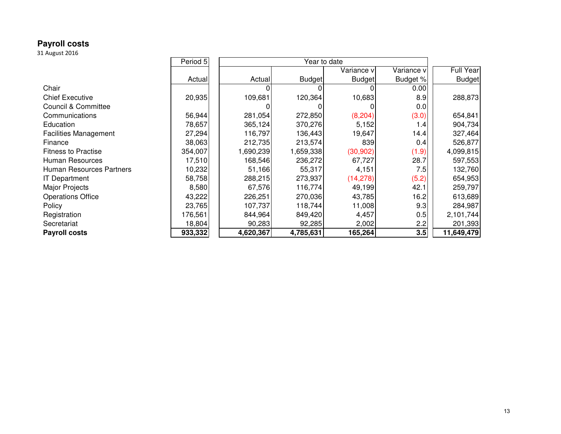# **Payroll costs** 31 August 2016

|                                | Period 5 |           | Year to date  |               |            |                  |
|--------------------------------|----------|-----------|---------------|---------------|------------|------------------|
|                                |          |           |               | Variance v    | Variance v | <b>Full Year</b> |
|                                | Actual   | Actual    | <b>Budget</b> | <b>Budget</b> | Budget %   | <b>Budget</b>    |
| Chair                          |          |           |               |               | 0.00       |                  |
| <b>Chief Executive</b>         | 20,935   | 109,681   | 120,364       | 10,683        | 8.9        | 288,873          |
| <b>Council &amp; Committee</b> |          |           |               |               | 0.0        |                  |
| Communications                 | 56,944   | 281,054   | 272,850       | (8, 204)      | (3.0)      | 654,841          |
| Education                      | 78,657   | 365,124   | 370,276       | 5,152         | 1.4        | 904,734          |
| <b>Facilities Management</b>   | 27,294   | 116,797   | 136,443       | 19,647        | 14.4       | 327,464          |
| Finance                        | 38,063   | 212,735   | 213,574       | 839           | 0.4        | 526,877          |
| <b>Fitness to Practise</b>     | 354,007  | 1,690,239 | 1,659,338     | (30, 902)     | (1.9)      | 4,099,815        |
| Human Resources                | 17,510   | 168,546   | 236,272       | 67,727        | 28.7       | 597,553          |
| Human Resources Partners       | 10,232   | 51,166    | 55,317        | 4,151         | 7.5        | 132,760          |
| <b>IT Department</b>           | 58,758   | 288,215   | 273,937       | (14,278)      | (5.2)      | 654,953          |
| Major Projects                 | 8,580    | 67,576    | 116,774       | 49,199        | 42.1       | 259,797          |
| <b>Operations Office</b>       | 43,222   | 226,251   | 270,036       | 43,785        | 16.2       | 613,689          |
| Policy                         | 23,765   | 107,737   | 118,744       | 11,008        | 9.3        | 284,987          |
| Registration                   | 176,561  | 844,964   | 849,420       | 4,457         | 0.5        | 2,101,744        |
| Secretariat                    | 18,804   | 90,283    | 92,285        | 2,002         | 2.2        | 201,393          |
| <b>Payroll costs</b>           | 933,332  | 4,620,367 | 4,785,631     | 165,264       | 3.5        | 11,649,479       |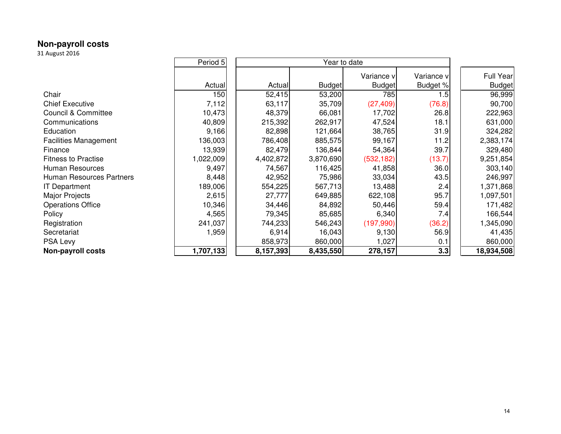# **Non-payroll costs** 31 August 2016

|                                | Period 5  |           | Year to date  |               |            |  |                  |  |  |  |
|--------------------------------|-----------|-----------|---------------|---------------|------------|--|------------------|--|--|--|
|                                |           |           |               | Variance v    | Variance v |  | <b>Full Year</b> |  |  |  |
|                                | Actual    | Actual    | <b>Budget</b> | <b>Budget</b> | Budget %   |  | <b>Budget</b>    |  |  |  |
| Chair                          | 150       | 52,415    | 53,200        | 785           | 1.5        |  | 96,999           |  |  |  |
| <b>Chief Executive</b>         | 7,112     | 63,117    | 35,709        | (27, 409)     | (76.8)     |  | 90,700           |  |  |  |
| <b>Council &amp; Committee</b> | 10,473    | 48,379    | 66,081        | 17,702        | 26.8       |  | 222,963          |  |  |  |
| Communications                 | 40,809    | 215,392   | 262,917       | 47,524        | 18.1       |  | 631,000          |  |  |  |
| Education                      | 9,166     | 82,898    | 121,664       | 38,765        | 31.9       |  | 324,282          |  |  |  |
| <b>Facilities Management</b>   | 136,003   | 786,408   | 885,575       | 99,167        | 11.2       |  | 2,383,174        |  |  |  |
| Finance                        | 13,939    | 82,479    | 136,844       | 54,364        | 39.7       |  | 329,480          |  |  |  |
| <b>Fitness to Practise</b>     | 1,022,009 | 4,402,872 | 3,870,690     | (532, 182)    | (13.7)     |  | 9,251,854        |  |  |  |
| Human Resources                | 9,497     | 74,567    | 116,425       | 41,858        | 36.0       |  | 303,140          |  |  |  |
| Human Resources Partners       | 8,448     | 42,952    | 75,986        | 33,034        | 43.5       |  | 246,997          |  |  |  |
| <b>IT Department</b>           | 189,006   | 554,225   | 567,713       | 13,488        | 2.4        |  | 1,371,868        |  |  |  |
| Major Projects                 | 2,615     | 27,777    | 649,885       | 622,108       | 95.7       |  | 1,097,501        |  |  |  |
| <b>Operations Office</b>       | 10,346    | 34,446    | 84,892        | 50,446        | 59.4       |  | 171,482          |  |  |  |
| Policy                         | 4,565     | 79,345    | 85,685        | 6,340         | 7.4        |  | 166,544          |  |  |  |
| Registration                   | 241,037   | 744,233   | 546,243       | (197,990)     | (36.2)     |  | 1,345,090        |  |  |  |
| Secretariat                    | 1,959     | 6,914     | 16,043        | 9,130         | 56.9       |  | 41,435           |  |  |  |
| PSA Levy                       |           | 858,973   | 860,000       | 1,027         | 0.1        |  | 860,000          |  |  |  |
| <b>Non-payroll costs</b>       | 1,707,133 | 8,157,393 | 8,435,550     | 278,157       | 3.3        |  | 18,934,508       |  |  |  |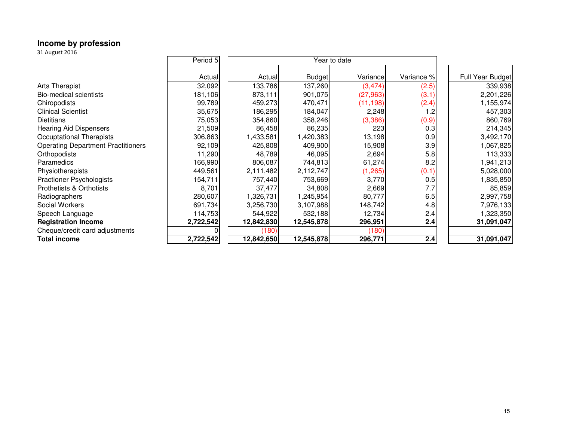# **Income by profession** 31 August 2016

| 31 August 2016                            |           |            |               |              |            |                  |
|-------------------------------------------|-----------|------------|---------------|--------------|------------|------------------|
|                                           | Period 5  |            |               | Year to date |            |                  |
|                                           | Actual    | Actual     | <b>Budget</b> | Variance     | Variance % | Full Year Budget |
| <b>Arts Therapist</b>                     | 32,092    | 133,786    | 137,260       | (3, 474)     | (2.5)      | 339,938          |
| <b>Bio-medical scientists</b>             | 181,106   | 873,111    | 901,075       | (27, 963)    | (3.1)      | 2,201,226        |
| Chiropodists                              | 99,789    | 459,273    | 470,471       | (11, 198)    | (2.4)      | 1,155,974        |
| <b>Clinical Scientist</b>                 | 35,675    | 186,295    | 184,047       | 2,248        | 1.2        | 457,303          |
| <b>Dietitians</b>                         | 75,053    | 354,860    | 358,246       | (3,386)      | (0.9)      | 860,769          |
| <b>Hearing Aid Dispensers</b>             | 21,509    | 86,458     | 86,235        | 223          | 0.3        | 214,345          |
| Occuptational Therapists                  | 306,863   | 1,433,581  | 1,420,383     | 13,198       | 0.9        | 3,492,170        |
| <b>Operating Department Practitioners</b> | 92,109    | 425,808    | 409,900       | 15,908       | 3.9        | 1,067,825        |
| Orthopodists                              | 11,290    | 48,789     | 46,095        | 2,694        | 5.8        | 113,333          |
| Paramedics                                | 166,990   | 806,087    | 744,813       | 61,274       | 8.2        | 1,941,213        |
| Physiotherapists                          | 449,561   | 2,111,482  | 2,112,747     | (1, 265)     | (0.1)      | 5,028,000        |
| <b>Practioner Psychologists</b>           | 154,711   | 757,440    | 753,669       | 3,770        | 0.5        | 1,835,850        |
| Prothetists & Orthotists                  | 8,701     | 37,477     | 34,808        | 2,669        | 7.7        | 85,859           |
| Radiographers                             | 280,607   | 1,326,731  | 1,245,954     | 80,777       | 6.5        | 2,997,758        |
| Social Workers                            | 691,734   | 3,256,730  | 3,107,988     | 148,742      | 4.8        | 7,976,133        |
| Speech Language                           | 114,753   | 544,922    | 532,188       | 12,734       | 2.4        | 1,323,350        |
| <b>Registration Income</b>                | 2,722,542 | 12,842,830 | 12,545,878    | 296,951      | 2.4        | 31,091,047       |
| Cheque/credit card adjustments            |           | (180)      |               | (180)        |            |                  |
| <b>Total income</b>                       | 2,722,542 | 12,842,650 | 12,545,878    | 296,771      | 2.4        | 31,091,047       |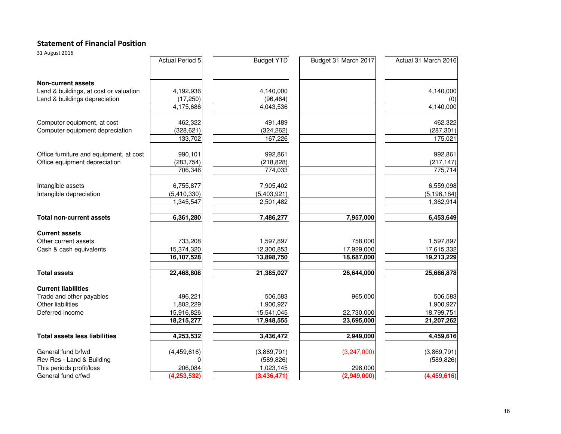#### Statement of Financial Position

31 August 2016

|                                         | <b>Actual Period 5</b> | <b>Budget YTD</b> | Budget 31 March 2017 | Actual 31 March 2016 |
|-----------------------------------------|------------------------|-------------------|----------------------|----------------------|
| <b>Non-current assets</b>               |                        |                   |                      |                      |
| Land & buildings, at cost or valuation  | 4,192,936              | 4,140,000         |                      | 4,140,000            |
| Land & buildings depreciation           | (17, 250)              | (96, 464)         |                      |                      |
|                                         | 4,175,686              | 4,043,536         |                      | 4,140,000            |
| Computer equipment, at cost             | 462,322                | 491,489           |                      | 462,322              |
| Computer equipment depreciation         | (328, 621)             | (324, 262)        |                      | (287, 301)           |
|                                         | 133,702                | 167,226           |                      | 175,021              |
| Office furniture and equipment, at cost | 990,101                | 992,861           |                      | 992,861              |
| Office equipment depreciation           | (283, 754)             | (218, 828)        |                      | (217, 147)           |
|                                         | 706,346                | 774,033           |                      | 775,714              |
| Intangible assets                       | 6,755,877              | 7,905,402         |                      | 6,559,098            |
| Intangible depreciation                 | (5,410,330)            | (5,403,921)       |                      | (5, 196, 184)        |
|                                         | 1,345,547              | 2,501,482         |                      | 1,362,914            |
| <b>Total non-current assets</b>         | 6,361,280              | 7,486,277         | 7,957,000            | 6,453,649            |
| <b>Current assets</b>                   |                        |                   |                      |                      |
| Other current assets                    | 733,208                | 1,597,897         | 758,000              | 1,597,897            |
| Cash & cash equivalents                 | 15,374,320             | 12,300,853        | 17,929,000           | 17,615,332           |
|                                         | 16,107,528             | 13,898,750        | 18,687,000           | 19,213,229           |
| <b>Total assets</b>                     | 22,468,808             | 21,385,027        | 26,644,000           | 25,666,878           |
| <b>Current liabilities</b>              |                        |                   |                      |                      |
| Trade and other payables                | 496,221                | 506,583           | 965,000              | 506,583              |
| Other liabilities                       | 1,802,229              | 1,900,927         |                      | 1,900,927            |
| Deferred income                         | 15,916,826             | 15,541,045        | 22,730,000           | 18,799,751           |
|                                         | 18,215,277             | 17,948,555        | 23,695,000           | 21,207,262           |
| <b>Total assets less liabilities</b>    | 4,253,532              | 3,436,472         | 2,949,000            | 4,459,616            |
| General fund b/fwd                      | (4,459,616)            | (3,869,791)       | (3,247,000)          | (3,869,791)          |
| Rev Res - Land & Building               | 0                      | (589, 826)        |                      | (589, 826)           |
| This periods profit/loss                | 206,084                | 1,023,145         | 298,000              |                      |
| General fund c/fwd                      | (4, 253, 532)          | (3,436,471)       | (2,949,000)          | (4,459,616)          |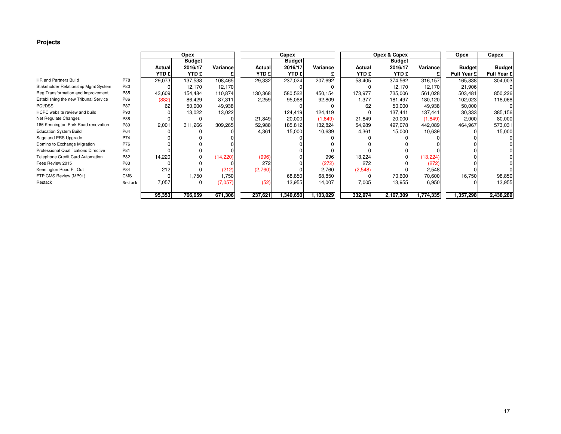#### **Projects**

|                                       |            |               | Opex          |           |                         | Capex                   |           |                         | Opex & Capex            |           | Opex          | Capex         |
|---------------------------------------|------------|---------------|---------------|-----------|-------------------------|-------------------------|-----------|-------------------------|-------------------------|-----------|---------------|---------------|
|                                       |            |               | <b>Budget</b> |           |                         | <b>Budget</b>           |           |                         | <b>Budget</b>           |           |               |               |
|                                       |            | <b>Actual</b> | 2016/17       | Variance  | Actual                  | 2016/17                 | Variance  | Actual                  | 2016/17                 | Variancel | <b>Budget</b> | <b>Budget</b> |
|                                       |            | <b>YTD £</b>  | <b>YTD £</b>  |           | <b>YTD</b> <sup>£</sup> | <b>YTD</b> <sub>£</sub> |           | <b>YTD</b> <sup>£</sup> | <b>YTD</b> <sup>£</sup> |           | Full Year £   | Full Year £   |
| <b>HR and Partners Build</b>          | P78        | 29,073        | 137,538       | 108,465   | 29,332                  | 237,024                 | 207,692   | 58,405                  | 374,562                 | 316,157   | 165,838       | 304,003       |
| Stakeholder Relationship Mgmt System  | P80        |               | 12,170        | 12,170    |                         |                         |           |                         | 12,170                  | 12,170    | 21,906        |               |
| Reg Transformation and Improvement    | P85        | 43,609        | 154,484       | 110,874   | 130,368                 | 580,522                 | 450,154   | 173,977                 | 735,006                 | 561,028   | 503,481       | 850,226       |
| Establishing the new Tribunal Service | P86        | (882)         | 86,429        | 87,311    | 2,259                   | 95,068                  | 92,809    | 1,377                   | 181,497                 | 180,120   | 102,023       | 118,068       |
| PCI/DSS                               | P87        | 62            | 50,000        | 49,938    |                         |                         |           | 62                      | 50,000                  | 49,938    | 50,000        |               |
| HCPC website review and build         | P90        |               | 13,022        | 13,022    |                         | 124,419                 | 124,419   |                         | 137,441                 | 137,441   | 30,333        | 385,156       |
| Net Regulate Changes                  | P88        |               |               |           | 21,849                  | 20,000                  | (1,849)   | 21,849                  | 20,000                  | (1,849)   | 2,000         | 80,000        |
| 186 Kennington Park Road renovation   | P89        | 2,001         | 311,266       | 309,265   | 52,988                  | 185,812                 | 132,824   | 54,989                  | 497,078                 | 442,089   | 464,967       | 573,031       |
| <b>Education System Build</b>         | P64        |               |               |           | 4,361                   | 15,000                  | 10,639    | 4,361                   | 15,000                  | 10,639    |               | 15,000        |
| Sage and PRS Upgrade                  | P74        |               |               |           |                         |                         |           |                         |                         |           |               |               |
| Domino to Exchange Migration          | P76        |               |               |           |                         |                         |           |                         |                         |           |               |               |
| Professional Qualifications Directive | P81        |               |               |           |                         |                         |           |                         |                         |           |               |               |
| Telephone Credit Card Automation      | P82        | 14,220        |               | (14, 220) | (996)                   |                         | 996       | 13,224                  |                         | (13, 224) |               |               |
| Fees Review 2015                      | P83        |               |               |           | 272                     |                         | (272)     | 272                     |                         | (272)     |               |               |
| Kennington Road Fit Out               | P84        | 212           |               | (212)     | (2,760)                 |                         | 2,760     | (2,548)                 |                         | 2,548     |               |               |
| FTP CMS Review (MP91)                 | <b>CMS</b> |               | 1,750         | 1,750     |                         | 68,850                  | 68,850    |                         | 70,600                  | 70,600    | 16,750        | 98,850        |
| Restack                               | Restack    | 7,057         |               | (7,057)   | (52)                    | 13,955                  | 14,007    | 7,005                   | 13,955                  | 6,950     |               | 13,955        |
|                                       |            |               |               |           |                         |                         |           |                         |                         |           |               |               |
|                                       |            | 95,353        | 766,659       | 671,306   | 237,621                 | ,340,650                | 1,103,029 | 332,974                 | 2,107,309               | 1,774,335 | 1,357,298     | 2,438,289     |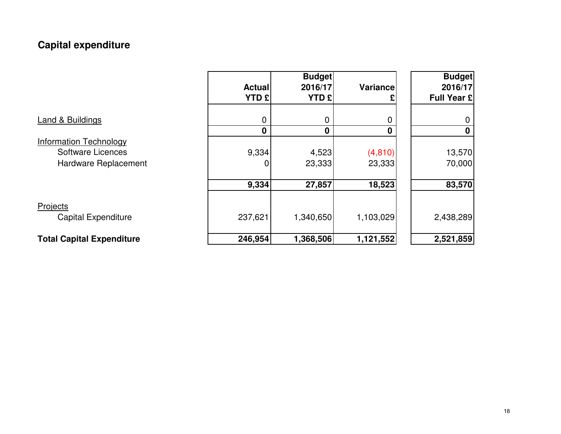## **Capital expenditure**

|                                                                                   | <b>Actual</b><br><b>YTD £</b> | <b>Budget</b><br>2016/17<br><b>YTD £</b> | Variance           | <b>Budget</b><br>2016/17<br>Full Year £ |
|-----------------------------------------------------------------------------------|-------------------------------|------------------------------------------|--------------------|-----------------------------------------|
| <b>Land &amp; Buildings</b>                                                       | 0<br>$\mathbf 0$              | 0<br>0                                   | 0<br>$\mathbf 0$   | 0<br>0                                  |
| <b>Information Technology</b><br><b>Software Licences</b><br>Hardware Replacement | 9,334<br>0                    | 4,523<br>23,333                          | (4, 810)<br>23,333 | 13,570<br>70,000                        |
|                                                                                   | 9,334                         | 27,857                                   | 18,523             | 83,570                                  |
| Projects<br><b>Capital Expenditure</b>                                            | 237,621                       | 1,340,650                                | 1,103,029          | 2,438,289                               |
| <b>Total Capital Expenditure</b>                                                  | 246,954                       | 1,368,506                                | 1,121,552          | 2,521,859                               |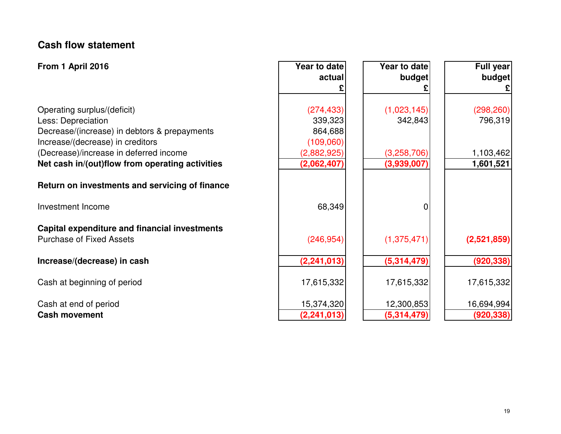### **Cash flow statement**

| From 1 April 2016                                    | Year to date  | Year to date | <b>Full year</b> |
|------------------------------------------------------|---------------|--------------|------------------|
|                                                      | actual        | budget       | budget           |
|                                                      |               |              | £                |
| Operating surplus/(deficit)                          | (274, 433)    | (1,023,145)  | (298, 260)       |
| Less: Depreciation                                   | 339,323       | 342,843      | 796,319          |
| Decrease/(increase) in debtors & prepayments         | 864,688       |              |                  |
| Increase/(decrease) in creditors                     | (109,060)     |              |                  |
| (Decrease)/increase in deferred income               | (2,882,925)   | (3,258,706)  | 1,103,462        |
| Net cash in/(out)flow from operating activities      | (2,062,407)   | (3,939,007)  | 1,601,521        |
| Return on investments and servicing of finance       |               |              |                  |
| Investment Income                                    | 68,349        | 0            |                  |
| <b>Capital expenditure and financial investments</b> |               |              |                  |
| <b>Purchase of Fixed Assets</b>                      | (246, 954)    | (1,375,471)  | (2,521,859)      |
| Increase/(decrease) in cash                          | (2, 241, 013) | (5,314,479)  | (920, 338)       |
| Cash at beginning of period                          | 17,615,332    | 17,615,332   | 17,615,332       |
| Cash at end of period                                | 15,374,320    | 12,300,853   | 16,694,994       |
| <b>Cash movement</b>                                 | (2, 241, 013) | (5,314,479)  | (920, 338)       |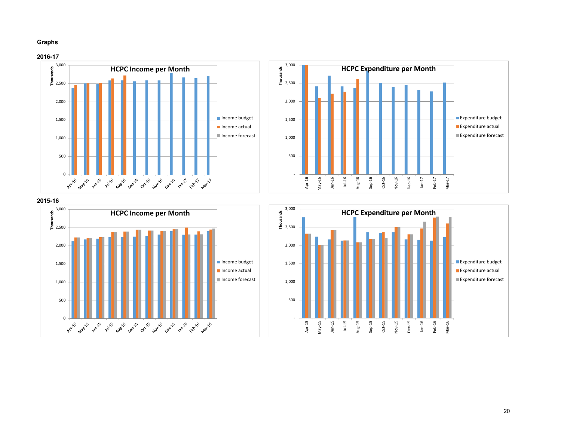#### **Graphs**







**2015-16**